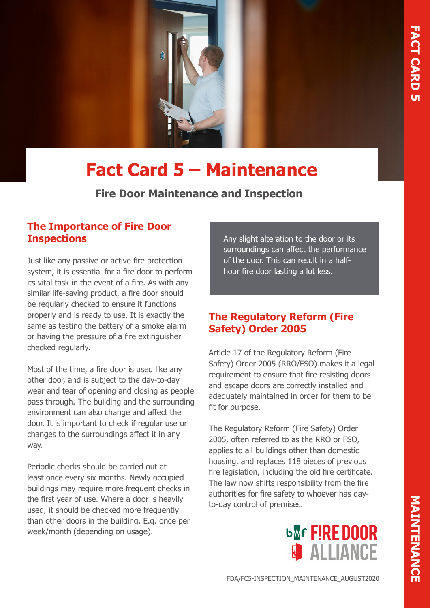

# **Fact Card 5 – Maintenance**

**Fire Door Maintenance and Inspection**

## **The Importance of Fire Door Inspections**

Just like any passive or active fire protection system, it is essential for a fire door to perform its vital task in the event of a fire. As with any similar life-saving product, a fire door should be regularly checked to ensure it functions properly and is ready to use. It is exactly the same as testing the battery of a smoke alarm or having the pressure of a fire extinguisher checked regularly.

Most of the time, a fire door is used like any other door, and is subject to the day-to-day wear and tear of opening and closing as people pass through. The building and the surrounding environment can also change and affect the door. It is important to check if regular use or changes to the surroundings affect it in any way.

Periodic checks should be carried out at least once every six months. Newly occupied buildings may require more frequent checks in the first year of use. Where a door is heavily used, it should be checked more frequently than other doors in the building. E.g. once per week/month (depending on usage).

Any slight alteration to the door or its surroundings can affect the performance of the door. This can result in a halfhour fire door lasting a lot less.

# **The Regulatory Reform (Fire Safety) Order 2005**

Article 17 of the Regulatory Reform (Fire Safety) Order 2005 (RRO/FSO) makes it a legal requirement to ensure that fire resisting doors and escape doors are correctly installed and adequately maintained in order for them to be fit for purpose.

The Regulatory Reform (Fire Safety) Order 2005, often referred to as the RRO or FSO, applies to all buildings other than domestic housing, and replaces 118 pieces of previous fire legislation, including the old fire certificate. The law now shifts responsibility from the fire authorities for fire safety to whoever has dayto-day control of premises.

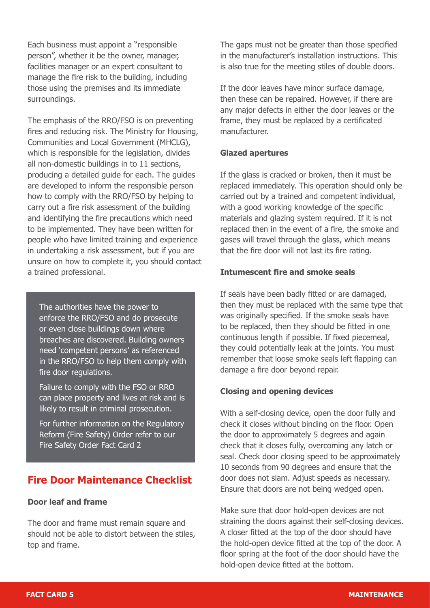Each business must appoint a "responsible person", whether it be the owner, manager, facilities manager or an expert consultant to manage the fire risk to the building, including those using the premises and its immediate surroundings.

The emphasis of the RRO/FSO is on preventing fires and reducing risk. The Ministry for Housing, Communities and Local Government (MHCLG), which is responsible for the legislation, divides all non-domestic buildings in to 11 sections, producing a detailed guide for each. The guides are developed to inform the responsible person how to comply with the RRO/FSO by helping to carry out a fire risk assessment of the building and identifying the fire precautions which need to be implemented. They have been written for people who have limited training and experience in undertaking a risk assessment, but if you are unsure on how to complete it, you should contact a trained professional.

The authorities have the power to enforce the RRO/FSO and do prosecute or even close buildings down where breaches are discovered. Building owners need 'competent persons' as referenced in the RRO/FSO to help them comply with fire door regulations.

Failure to comply with the FSO or RRO can place property and lives at risk and is likely to result in criminal prosecution.

For further information on the Regulatory Reform (Fire Safety) Order refer to our Fire Safety Order Fact Card 2

# **Fire Door Maintenance Checklist**

## **Door leaf and frame**

The door and frame must remain square and should not be able to distort between the stiles, top and frame.

The gaps must not be greater than those specified in the manufacturer's installation instructions. This is also true for the meeting stiles of double doors.

If the door leaves have minor surface damage, then these can be repaired. However, if there are any major defects in either the door leaves or the frame, they must be replaced by a certificated manufacturer.

#### **Glazed apertures**

If the glass is cracked or broken, then it must be replaced immediately. This operation should only be carried out by a trained and competent individual, with a good working knowledge of the specific materials and glazing system required. If it is not replaced then in the event of a fire, the smoke and gases will travel through the glass, which means that the fire door will not last its fire rating.

#### **Intumescent fire and smoke seals**

If seals have been badly fitted or are damaged, then they must be replaced with the same type that was originally specified. If the smoke seals have to be replaced, then they should be fitted in one continuous length if possible. If fixed piecemeal, they could potentially leak at the joints. You must remember that loose smoke seals left flapping can damage a fire door beyond repair.

## **Closing and opening devices**

With a self-closing device, open the door fully and check it closes without binding on the floor. Open the door to approximately 5 degrees and again check that it closes fully, overcoming any latch or seal. Check door closing speed to be approximately 10 seconds from 90 degrees and ensure that the door does not slam. Adjust speeds as necessary. Ensure that doors are not being wedged open.

Make sure that door hold-open devices are not straining the doors against their self-closing devices. A closer fitted at the top of the door should have the hold-open device fitted at the top of the door. A floor spring at the foot of the door should have the hold-open device fitted at the bottom.